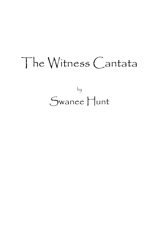# The Witness Cantata

by Swanee Hunt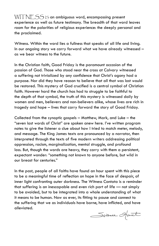$WITNFSS$  is an ambiguous word, encompassing present experience as well as future testimony. The breadth of that word leaves room for the polarities of religious experience: the deeply personal and the proclaimed.

Witness. Within the word lies a fullness that speaks of all life and living. In our ongoing story we carry forward what we have already witnessed – as we bear witness to the future.

In the Christian faith, Good Friday is the paramount occasion of the passion of God. Those who stood near the cross at Calvary witnessed a suffering not trivialized by any confidence that Christ's agony had a purpose. Nor did they have reason to believe that all that was lost would be restored. This mystery of God crucified is a central symbol of Christian faith. However hard the church has had to struggle to be faithful to the depth of that symbol, the truth of this mystery is witnessed daily by women and men, believers and non-believers alike, whose lives are rich in tragedy and hope – lives that carry forward the story of Good Friday.

Collected from the synoptic gospels – Matthew, Mark, and Luke – the "seven last words of Christ" are spoken anew here. I've written program notes to give the listener a clue about how I tried to match meter, melody, and message. The King James texts are pronounced by a narrator, then interpreted through the texts of five modern writers addressing political oppression, racism, marginalization, mental struggle, and profound loss. But, though the words are heavy, they carry with them a persistent, expectant wonder: "something not known to anyone before, but wild in our breast for centuries."

In the past, people of all faiths have found an hour spent with this piece to be a meaningful time of reflection on hope in the face of despair, of inner light confronting outer darkness. The Witness Cantata is a reminder that suffering is an inescapable and even rich part of life — not simply to be avoided, but to be integrated into a whole understanding of what it means to be human. Now as ever, its fitting to pause and connect to the suffering that we as individuals have borne, have inflicted, and have alleviated.

Survey Spirit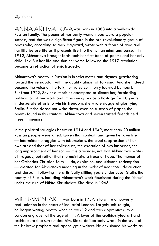#### Authors

 $\bigtriangleup$ NNA  $\bigtriangleup$ K $\bigtriangleup$ MAT $\bigtriangleup$ V $\bigtriangleup$  was born in 1888 into a well-to-do Russian family. The poems of her early womanhood were a popular success, and she was a significant figure in the pre-revolutionary group of poets who, according to Max Hayward, wrote with a "spirit of awe and humility before life as it presents itself to the human mind and sense." In 1912, Akhmatova brought forth both her first book of poems and her only child, Lev. But her life and thus her verse following the 1917 revolution became a refraction of epic tragedy.

Akhmatova's poetry in Russian is in strict meter and rhymes, gravitating toward the vernacular with the quality almost of folksong. And she indeed became the voice of the folk, her verse commonly learned by heart. But from 1922, Soviet authorities attempted to silence her, forbidding publication of her work and imprisoning Lev as a hostage for 18 years. In desperate efforts to win his freedom, she wrote doggerel glorifying Stalin. But she dared not write down, even on a scrap of paper, the poems found in this cantata. Akhmatova and seven trusted friends held these in memory.

In the political struggles between 1914 and 1949, more than 20 million Russian people were killed. Given that context, and given her own life — intermittent struggles with tuberculosis, the cruel suppression of her own art and that of her colleagues, the execution of two husbands, the long imprisonment of her son — it is a wonder, not that Akhmatova writes of tragedy, but rather that she maintains a trace of hope. The themes of her Orthodox Christian faith — sin, expiation, and ultimate redemption — created for Akhmatova meaning in the midst of near total destruction and despair. Following the artistically stifling years under Josef Stalin, the poetry of Russia, including Akhmatova's work flourished during the "thaw" under the rule of Nikita Khrushchev. She died in 1966.

WILLIAM BLAKE was born in 1757, into a life of poverty and isolation in the heart of industrial London. Largely self-taught, he began writing poetry when he was 12 and was apprenticed to a London engraver at the age of 14. A lover of the Gothic-styled art and architecture that surrounded him, Blake deliberately wrote in the style of the Hebrew prophets and apocalyptic writers. He envisioned his works as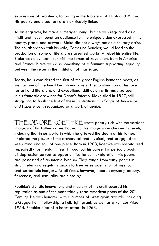expressions of prophecy, following in the footsteps of Elijah and Milton. His poetry and visual art are inextricably linked.

As an engraver, he made a meager living; but he was regarded as a misfit and never found an audience for the unique vision expressed in his poetry, prose, and artwork. Blake did not always act as a solitary artist. The collaboration with his wife, Catherine Boucher, would lead to the production of some of literature's greatest works. A rebel his entire life, Blake was a sympathizer with the forces of revolution, both in America and France. Blake was also something of a feminist, supporting equality between the sexes in the institution of marriage.

Today, he is considered the first of the great English Romantic poets, as well as one of the finest English engravers. The combination of his love for art and literature, and exceptional skill as an artist may be seen in his fantastic drawings for Dante's *Inferno*. Blake died in 1827, still struggling to finish the last of these illustrations. His *Songs of Innocence and Experience* is recognized as a work of genius.

THEODORE ROETHKE wrote poetry rich with the verdant imagery of his father's greenhouse. But his imagery reaches many levels, including that inner world in which he grieved the death of his father, explored the power of the archetypal and mystical, and struggled to keep mind and soul of one piece. Born in 1908, Roethke was hospitalized repeatedly for mental illness. Throughout his career his periodic bouts of depression served as opportunities for self-exploration. His poems are possessed of an intense lyricism. They range from witty poems in strict meter and regular stanzas to free verse poems full of mystical and surrealistic imagery. At all times, however, nature's mystery, beauty, fierceness, and sensuality are close by.

Roethke's stylistic innovations and mastery of his craft secured his reputation as one of the most widely read American poets of the  $20<sup>th</sup>$ Century. He was honored with a number of prestigious awards, including a Guggenheim Fellowship, a Fulbright grant, as well as a Pulitzer Prize in 1954. Roethke died of a heart attack in 1963.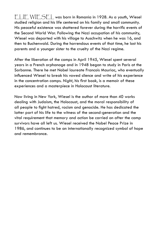ELIE WIESEL was born in Romania in 1928. As a youth, Wiesel studied religion and his life centered on his family and small community. His peaceful existence was shattered forever during the horrific events of the Second World War. Following the Nazi occupation of his community, Wiesel was deported with his village to Auschwitz when he was 16, and then to Buchenwald. During the horrendous events of that time, he lost his parents and a younger sister to the cruelty of the Nazi regime.

After the liberation of the camps in April 1945, Wiesel spent several years in a French orphanage and in 1948 began to study in Paris at the Sorbonne. There he met Nobel laureate Francois Mauriac, who eventually influenced Wiesel to break his vowed silence and write of his experience in the concentration camps. *Night*, his first book, is a memoir of these experiences and a masterpiece in Holocaust literature.

Now living in New York, Wiesel is the author of more than 40 works dealing with Judaism, the Holocaust, and the moral responsibility of all people to fight hatred, racism and genocide. He has dedicated the latter part of his life to the witness of the second-generation and the vital requirement that memory and action be carried on after the camp survivors have all left us. Wiesel received the Nobel Peace Prize in 1986, and continues to be an internationally recognized symbol of hope and remembrance.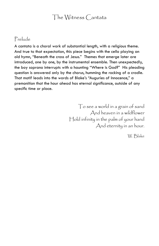# The Witness Cantata

#### Prelude

A cantata is a choral work of substantial length, with a religious theme. And true to that expectation, this piece begins with the cello playing an old hymn, "Beneath the cross of Jesus." Themes that emerge later are introduced, one by one, by the instrumental ensemble. Then unexpectedly, the boy soprano interrupts with a haunting "Where is God?" His pleading question is answered only by the chorus, humming the rocking of a cradle. That motif leads into the words of Blake's "Auguries of Innocence," a premonition that the hour ahead has eternal significance, outside of any specific time or place.

> To see a world in a grain of sand And heaven in a wildflower Hold infinity in the palm of your hand And eternity in an hour.

> > W. Blake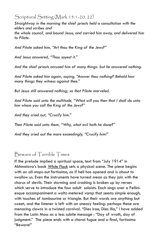Scriptural Setting (Mark 15:1-20, 22)

*Straightway in the morning the chief priests held a consultation with the elders and scribes and* 

*the whole council, and bound Jesus, and carried him away, and delivered him to Pilate.*

*And Pilate asked him, "Art thou the King of the Jews?"* 

*And Jesus answered, "Thou sayest it."*

*And the chief priests accused him of many things: but he answered nothing.*

*And Pilate asked him again, saying, "Answer thou nothing? Behold how many things they witness against thee."*

*But Jesus still answered nothing; so that Pilate marveled.*

*And Pilate said unto the multitude, "What will you then that I shall do unto him whom you call the King of the Jews?"*

*And they cried out, "Crucify him."*

*Then Pilate said unto them, "Why, what evil hath he done?"* 

*And they cried out the more exceedingly, "Crucify him!"*

Beware of Terrible Times

If the prelude implied a spiritual space, text from "July 1914" in Akhmatova's book *White Flock* sets a physical scene. The piece begins with an all-stops-out fortissimo, as if hell has opened and is about to swallow us. Even the instruments have turned mean as they join with the chorus of devils. Their storming and crashing is broken up by verses which serve to introduce the four adult soloists. Each sings over a Felliniesque accompaniment a waltz-metered vamp that seems simple enough, with touches of tambourine or triangle. But their words are anything but sweet, and the listener is left with an uneasy feeling: perhaps these are menacing clowns in a twisted carnival. "Dies Irae, Dies Illa," I have added from the Latin Mass as a less subtle message : "Day of wrath, day of judgment." The piece ends with a choral fugue and a final, fortissimo "Beware!"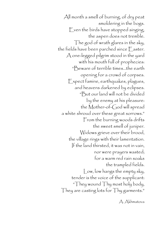All month a smell of burning, of dry peat smoldering in the bogs. Even the birds have stopped singing, the aspen does not tremble. The god of wrath glares in the sky, the fields have been parched since Easter. A one-legged pilgrim stood in the yard with his mouth full of prophecies: "Beware of terrible times…the earth opening for a crowd of corpses. Expect famine, earthquakes, plagues, and heavens darkened by eclipses. "But our land will not be divided by the enemy at his pleasure: the Mother-of-God will spread a white shroud over these great sorrows." From the burning woods drifts the sweet smell of juniper. Widows grieve over their brood, the village rings with their lamentation. If the land thirsted, it was not in vain, nor were prayers wasted; for a warm red rain soaks the trampled fields. Low, low hangs the empty sky, tender is the voice of the supplicant: "They wound Thy most holy body, They are casting lots for Thy garments."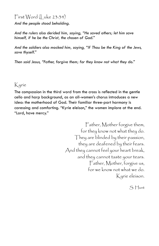# $First Word (|uke 23:34)$

*And the people stood beholding.* 

*And the rulers also derided him, saying, "He saved others; let him save himself, if he be the Christ, the chosen of God."* 

*And the soldiers also mocked him, saying, "If Thou be the King of the Jews, save thyself."*

*Then said Jesus, "Father, forgive them; for they know not what they do."*

# Kyrie

The compassion in the third word from the cross is reflected in the gentle cello and harp background, as an all-women's chorus introduces a new idea: the motherhood of God. Their familiar three-part harmony is caressing and comforting. "Kyrie eleison," the women implore at the end. "Lord, have mercy."

> Father, Mother forgive them, for they know not what they do. They are blinded by their passion, they are deafened by their fears. And they cannot feel your heart break, and they cannot taste your tears. Father, Mother, forgive us, for we know not what we do. Kyrie eleison.

> > S. Hunt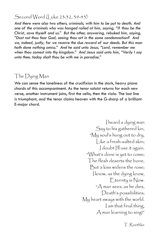#### Second Word (*Luke* 23:32, 39-43)

*And there were also two others, criminals, with him to be put to death. And one of the criminals who was hanged railed at him, saying, "If thou be the Christ, save thyself and us." But the other, answering, rebuked him, saying, "Dost not thou fear God, seeing thou art in the same condemnation? And we, indeed, justly; for we receive the due reward of our deeds. But this man hath done nothing amiss." And he said unto Jesus, "Lord, remember me when thou comest into thy kingdom." And Jesus said unto him, "Verily I say unto thee, today shalt thou be with me in paradise."*

## The Dying Man

We can sense the loneliness of the crucifixion in the stark, heavy piano chords of this accompaniment. As the tenor soloist returns for each new verse, another instrument joins, first the cello, then the viola. The last line is triumphant, and the tenor claims heaven with the G-sharp of a brilliant E-major chord.

> I heard a dying man Say to his gathered kin, "My soul's hung out to dry, Like a fresh-salted skin; doubt |'ll use it again. "What's done is yet to come; The flesh deserts the bone, But a kiss widens the rose; I know, as the dying know, Eternity is Now. "A man sees, as he dies, Death's possibilities; My heart sways with the world. I am that final thing, A man learning to sing!"

> > T. Roethke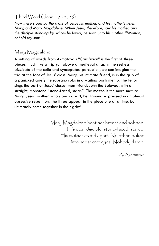### Third Word (John 19:25, 26)

*Now there stood by the cross of Jesus his mother, and his mother's sister, Mary, and Mary Magdalene. When Jesus, therefore, saw his mother, and the disciple standing by, whom he loved, he saith unto his mother, "Woman, behold thy son! "*

# Mary Magdalene

A setting of words from Akmatova's "Crucifixion" is the first of three pieces, much like a triptych above a medieval altar. In the restless pizzicato of the cello and syncopated percussion, we can imagine the trio at the foot of Jesus' cross. Mary, his intimate friend, is in the grip of a panicked grief; the soprano sobs in a wailing portamento. The tenor sings the part of Jesus' closest man friend, John the Beloved, with a straight, monotone "stone-faced, stare." The mezzo is the more mature Mary, Jesus' mother, who stands apart, her trauma expressed in an almost obsessive repetition. The three appear in the piece one at a time, but ultimately come together in their grief.

> Mary Magdalene beat her breast and sobbed. His dear disciple, stone-faced, stared. His mother stood apart. No other looked into her secret eyes. Nobody dared.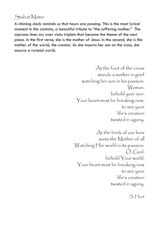# Stabat Mater

A chiming clock reminds us that hours are passing. This is the most lyrical moment in the cantata, a beautiful tribute to "the suffering mother." The soprano lines arc over viola triplets that become the theme of the next piece. In the first verse, she is the mother of Jesus. In the second, she is the mother of the world, the creator. As she mourns her son on the cross, she mourns a twisted world.

> At the foot of the cross stands a mother in grief watching her son in his passion. Woman, behold your son. Your heart must be breaking now, to see your life's creation twisted in agony.

At the brink of our lives waits the Mother of all Watching Her world in its passion.  $O, God,$ behold Your world. Your heart must be breaking now to see your life's creation twisted in agony.

S. Hunt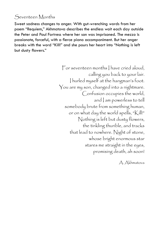# Seventeen Months

Sweet sadness changes to anger. With gut-wrenching words from her poem "Requiem," Akhmatova describes the endless wait each day outside the Peter and Paul Fortress where her son was imprisoned. The mezzo is passionate, forceful, with a fierce piano accompaniment. But her anger breaks with the word "Kill!" and she pours her heart into "Nothing is left but dusty flowers."

> For seventeen months I have cried aloud, calling you back to your lair. I hurled myself at the hangman's foot. You are my son, changed into a nightmare. Confusion occupies the world, and am powerless to tell somebody brute from something human, or on what day the world spells, "Kill!" Nothing is left but dusty flowers, the tinkling thurible, and tracks that lead to nowhere. Night of stone, whose bright enormous star stares me straight in the eyes, promising death, ah soon!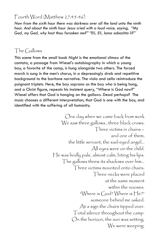#### Fourth Word (Matthew 27:45-46)

*Now from the sixth hour there was darkness over all the land unto the ninth hour. And about the ninth hour Jesus cried with a loud voice, saying, "My God, my God, why hast thou forsaken me?" "Eli, Eli, lama sabachta li?"*

# The Gallows

This scene from the small book *Night* is the emotional climax of the cantata, a passage from Wiesel's autobiography in which a young boy, a favorite of the camp, is hung alongside two others. The forced march is sung in the men's chorus, in a depressingly drab and repetitive background to the baritone narrative. The viola and cello reintroduce the poignant triplets. Here, the boy soprano as the boy who is being hung, and a Christ figure, repeats his insistent query, "Where is God now?" Wiesel offers that God is hanging on the gallows. Dead perhaps? The music chooses a different interpretation, that God is one with the boy, and identified with the suffering of all humanity.

> One day when we came back from work We saw three gallows…three black crows. Three victims in chains – and one of them, the little servant, the sad-eyed angel… All eyes were on the child. He was lividly pale, almost calm, biting his lips. The gallows threw its shadows over him… Three victims mounted onto chairs. Three necks were placed at the same moment within the nooses. "Where is God? Where is He?" someone behind me asked. At a sign the chairs tipped over. Total silence throughout the camp. On the horizon, the sun was setting. We were weeping.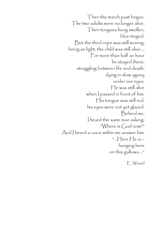Then the march past began. The two adults were no longer alive. Their tongues hung swollen, blue-tinged. But the third rope was still moving; being so light, the child was still alive.… For more than half an hour he stayed there, struggling between life and death, dying in slow agony under our eyes. He was still alive when | passed in front of him. His tongue was still red, his eyes were not yet glazed. Behind me, I heard the same man asking: "Where is God now?" And I heard a voice within me answer him: "…Here He is – hanging here on this gallows…."

E. Wiesel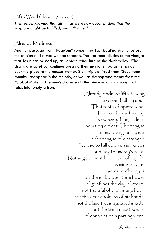Fifth Word (John 19:28-29)

*Then Jesus, knowing that all things were now accomplished that the scripture might be fulfilled, saith, "I thirst."*

## Already Madness

Another passage from "Requiem" comes in as fast-beating drums restore the tension and a madwoman screams. The baritone alludes to the vinegar that Jesus has passed up, as "opiate wine, lure of the dark valley. "The drums are quiet but continue pressing their manic tempo as he hands over the piece to the mezzo mother. Slow triplets lifted from "Seventeen Months" reappear in the melody, as well as the soprano theme from the "Stabat Mater." The men's chorus ends the piece in lush harmony that folds into lonely unison.

> Already madness lifts its wing to cover half my soul. That taste of opiate wine! Lure of the dark valley! Now everything is clear. I admit my defeat. The tongue of my ravings in my ear is the tongue of a stranger. No use to fall down on my knees and beg for mercy's sake. Nothing I counted mine, out of my life, is mine to take: not my son's terrible eyes not the elaborate stone flower of grief, not the day of storm, not the trial of the visiting hour, not the dear coolness of his hands, not the lime trees' agitated shade, not the thin cricket-sound of consolation's parting word.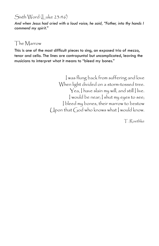# Sixth Word (Luke 23:46)

*And when Jesus had cried with a loud voice, he said, "Father, into thy hands I commend my spirit."*

# The Marrow

This is one of the most difficult pieces to sing, an exposed trio of mezzo, tenor and cello. The lines are contrapuntal but uncomplicated, leaving the musicians to interpret what it means to "bleed my bones."

> I was flung back from suffering and love When light divided on a storm-tossed tree. Yea, I have slain my will, and still I live. I would be near; I shut my eyes to see; I bleed my bones, their marrow to bestow Upon that God who knows what I would know.

> > T. Roethke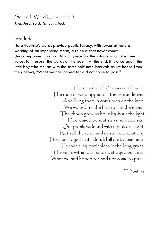Seventh Word (John 19:30) *Then Jesus said, "It is finished."*

#### Interlude

Here Roethke's words provide poetic fallacy, with forces of nature warning of an impending storm, a release that never comes. Unaccompanied, this is a difficult piece for the soloists who color their voices to interpret the words of the poem. At the end, it is once again the little boy who mourns with the same half-note intervals as we heard from the gallows, "What we had hoped for did not come to pass."

> The element of air was out of hand. The rush of wind ripped off the tender leaves And flung them in confusion on the land. We waited for the first rain in the eaves. The chaos grew as hour-by-hour the light Decreased beneath an undivided sky. Our pupils widened with unnatural night, But still the road and dusty field kept dry. The rain stayed in its cloud; full dark came near; The wind lay motionless in the long grass. The veins within our hands betrayed our fear. What we had hoped for had not come to pass.

> > T. Roethke